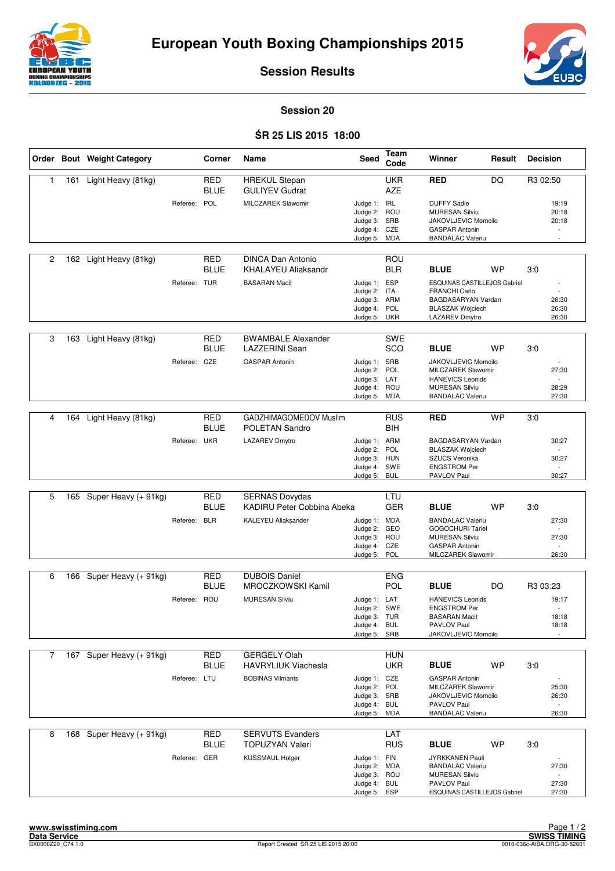



**Session Results**

## **Session 20**

## Ś**R 25 LIS 2015 18:00**

|                |     | Order Bout Weight Category |              | Corner                    | Name                                                | Seed                                                                         | Team<br>Code             | Winner                                                                                                                  | Result    | <b>Decision</b>                                               |
|----------------|-----|----------------------------|--------------|---------------------------|-----------------------------------------------------|------------------------------------------------------------------------------|--------------------------|-------------------------------------------------------------------------------------------------------------------------|-----------|---------------------------------------------------------------|
| $\mathbf{1}$   |     | 161 Light Heavy (81kg)     |              | <b>RED</b><br><b>BLUE</b> | <b>HREKUL Stepan</b><br><b>GULIYEV Gudrat</b>       |                                                                              | <b>UKR</b><br><b>AZE</b> | <b>RED</b>                                                                                                              | <b>DQ</b> | R3 02:50                                                      |
|                |     |                            | Referee:     | POL                       | <b>MILCZAREK Slawomir</b>                           | Judge 1: IRL<br>Judge 2: ROU<br>Judge 3: SRB<br>Judge 4: CZE<br>Judge 5: MDA |                          | <b>DUFFY Sadie</b><br><b>MURESAN Silviu</b><br>JAKOVLJEVIC Momcilo<br><b>GASPAR Antonin</b><br><b>BANDALAC Valeriu</b>  |           | 19:19<br>20:18<br>20:18<br>$\overline{\phantom{a}}$<br>$\sim$ |
| $\overline{c}$ | 162 | Light Heavy (81kg)         |              | <b>RED</b><br><b>BLUE</b> | <b>DINCA Dan Antonio</b><br>KHALAYEU Aliaksandr     |                                                                              | ROU<br><b>BLR</b>        | <b>BLUE</b>                                                                                                             | <b>WP</b> | 3:0                                                           |
|                |     |                            | Referee: TUR |                           | <b>BASARAN Macit</b>                                | Judge 1: ESP<br>Judge 2: ITA<br>Judge 3: ARM<br>Judge 4: POL<br>Judge 5: UKR |                          | ESQUINAS CASTILLEJOS Gabriel<br><b>FRANCHI Carlo</b><br>BAGDASARYAN Vardan<br><b>BLASZAK Wojciech</b><br>LAZAREV Dmytro |           | 26:30<br>26:30<br>26:30                                       |
|                |     |                            |              |                           |                                                     |                                                                              |                          |                                                                                                                         |           |                                                               |
| 3              | 163 | Light Heavy (81kg)         |              | <b>RED</b><br><b>BLUE</b> | <b>BWAMBALE Alexander</b><br>LAZZERINI Sean         |                                                                              | SWE<br>SCO               | <b>BLUE</b>                                                                                                             | WP        | 3:0                                                           |
|                |     |                            | Referee: CZE |                           | <b>GASPAR Antonin</b>                               | Judge 1: SRB<br>Judge 2: POL<br>Judge 3: LAT                                 |                          | JAKOVLJEVIC Momcilo<br>MILCZAREK Slawomir<br><b>HANEVICS Leonids</b>                                                    |           | 27:30                                                         |
|                |     |                            |              |                           |                                                     | Judge 4: ROU<br>Judge 5:                                                     | MDA                      | <b>MURESAN Silviu</b><br><b>BANDALAC Valeriu</b>                                                                        |           | 28:29<br>27:30                                                |
|                |     |                            |              |                           |                                                     |                                                                              |                          |                                                                                                                         |           |                                                               |
| 4              | 164 | Light Heavy (81kg)         |              | <b>RED</b><br><b>BLUE</b> | GADZHIMAGOMEDOV Muslim<br>POLETAN Sandro            |                                                                              | <b>RUS</b><br><b>BIH</b> | <b>RED</b>                                                                                                              | <b>WP</b> | 3:0                                                           |
|                |     |                            | Referee: UKR |                           | <b>LAZAREV Dmytro</b>                               | Judge 1: ARM                                                                 |                          | BAGDASARYAN Vardan                                                                                                      |           | 30:27                                                         |
|                |     |                            |              |                           |                                                     | Judge 2:<br>Judge 3: HUN<br>Judge 4: SWE                                     | POL                      | <b>BLASZAK Wojciech</b><br>SZUCS Veronika<br><b>ENGSTROM Per</b>                                                        |           | 30:27                                                         |
|                |     |                            |              |                           |                                                     | Judge 5: BUL                                                                 |                          | PAVLOV Paul                                                                                                             |           | 30:27                                                         |
|                |     |                            |              |                           |                                                     |                                                                              |                          |                                                                                                                         |           |                                                               |
| 5              | 165 | Super Heavy (+ 91kg)       |              | <b>RED</b><br><b>BLUE</b> | <b>SERNAS Dovydas</b><br>KADIRU Peter Cobbina Abeka |                                                                              | LTU<br><b>GER</b>        | <b>BLUE</b>                                                                                                             | <b>WP</b> | 3:0                                                           |
|                |     |                            | Referee: BLR |                           | <b>KALEYEU Aliaksander</b>                          | Judge 1: MDA                                                                 |                          | <b>BANDALAC Valeriu</b>                                                                                                 |           | 27:30<br>$\sim$                                               |
|                |     |                            |              |                           |                                                     | Judge 2:<br>Judge 3: ROU                                                     | GEO                      | <b>GOGOCHURI Tariel</b><br><b>MURESAN Silviu</b>                                                                        |           | 27:30                                                         |
|                |     |                            |              |                           |                                                     | Judge 4:<br>Judge 5:                                                         | CZE<br>POL               | <b>GASPAR Antonin</b><br>MILCZAREK Slawomir                                                                             |           | $\sim$<br>26:30                                               |
|                |     |                            |              |                           |                                                     |                                                                              |                          |                                                                                                                         |           |                                                               |
| 6              | 166 | Super Heavy (+ 91kg)       |              | <b>RED</b>                | <b>DUBOIS Daniel</b>                                |                                                                              | <b>ENG</b>               |                                                                                                                         |           |                                                               |
|                |     |                            | Referee:     | <b>BLUE</b><br>ROU        | MROCZKOWSKI Kamil<br><b>MURESAN Silviu</b>          | Judge 1: LAT                                                                 | <b>POL</b>               | <b>BLUE</b><br><b>HANEVICS Leonids</b>                                                                                  | DQ        | R <sub>3</sub> 03:23<br>19:17                                 |
|                |     |                            |              |                           |                                                     | Judge 2: SWE                                                                 |                          | <b>ENGSTROM Per</b>                                                                                                     |           | $\sim$                                                        |
|                |     |                            |              |                           |                                                     | Judge 3: TUR<br>Judge 4: BUL                                                 |                          | <b>BASARAN Macit</b><br>PAVLOV Paul                                                                                     |           | 18:18<br>18:18                                                |
|                |     |                            |              |                           |                                                     | Judge 5: SRB                                                                 |                          | JAKOVLJEVIC Momcilo                                                                                                     |           |                                                               |
| $\overline{7}$ |     | 167 Super Heavy (+ 91kg)   |              | <b>RED</b>                | <b>GERGELY Olah</b>                                 |                                                                              | <b>HUN</b>               |                                                                                                                         |           |                                                               |
|                |     |                            |              | <b>BLUE</b>               | <b>HAVRYLIUK Viachesla</b>                          |                                                                              | <b>UKR</b>               | <b>BLUE</b>                                                                                                             | WP        | 3.0                                                           |
|                |     |                            | Referee: LTU |                           | <b>BOBINAS Vilmants</b>                             | Judge 1: CZE                                                                 |                          | <b>GASPAR Antonin</b><br><b>MILCZAREK Slawomir</b>                                                                      |           |                                                               |
|                |     |                            |              |                           |                                                     | Judge 2: POL<br>Judge 3: SRB                                                 |                          | JAKOVLJEVIC Momcilo                                                                                                     |           | 25:30<br>26:30                                                |
|                |     |                            |              |                           |                                                     | Judge 4: BUL<br>Judge 5: MDA                                                 |                          | PAVLOV Paul<br><b>BANDALAC Valeriu</b>                                                                                  |           | $\overline{\phantom{a}}$<br>26:30                             |
|                |     |                            |              |                           |                                                     |                                                                              |                          |                                                                                                                         |           |                                                               |
| 8              |     | 168 Super Heavy (+ 91kg)   |              | <b>RED</b><br><b>BLUE</b> | <b>SERVUTS Evanders</b><br><b>TOPUZYAN Valeri</b>   |                                                                              | LAT<br><b>RUS</b>        | <b>BLUE</b>                                                                                                             | <b>WP</b> | 3:0                                                           |
|                |     |                            | Referee: GER |                           | <b>KUSSMAUL Holger</b>                              | Judge 1: FIN                                                                 |                          | JYRKKANEN Pauli                                                                                                         |           |                                                               |
|                |     |                            |              |                           |                                                     | Judge 2: MDA<br>Judge 3: ROU                                                 |                          | <b>BANDALAC Valeriu</b><br><b>MURESAN Silviu</b>                                                                        |           | 27:30                                                         |
|                |     |                            |              |                           |                                                     | Judge 4: BUL<br>Judge 5: ESP                                                 |                          | PAVLOV Paul<br>ESQUINAS CASTILLEJOS Gabriel                                                                             |           | 27:30<br>27:30                                                |
|                |     |                            |              |                           |                                                     |                                                                              |                          |                                                                                                                         |           |                                                               |